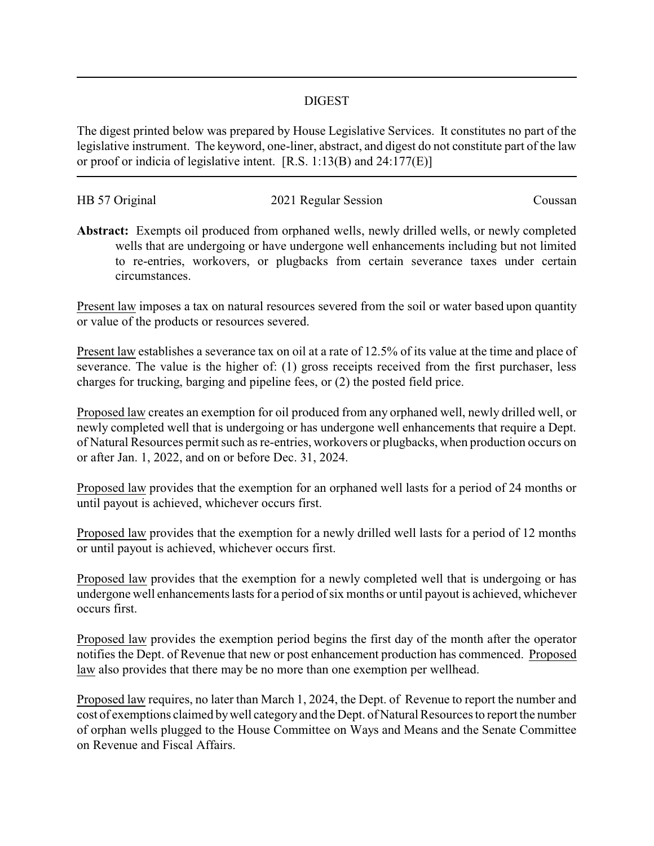## DIGEST

The digest printed below was prepared by House Legislative Services. It constitutes no part of the legislative instrument. The keyword, one-liner, abstract, and digest do not constitute part of the law or proof or indicia of legislative intent. [R.S. 1:13(B) and 24:177(E)]

| HB 57 Original | 2021 Regular Session | Coussan |
|----------------|----------------------|---------|
|                |                      |         |

**Abstract:** Exempts oil produced from orphaned wells, newly drilled wells, or newly completed wells that are undergoing or have undergone well enhancements including but not limited to re-entries, workovers, or plugbacks from certain severance taxes under certain circumstances.

Present law imposes a tax on natural resources severed from the soil or water based upon quantity or value of the products or resources severed.

Present law establishes a severance tax on oil at a rate of 12.5% of its value at the time and place of severance. The value is the higher of: (1) gross receipts received from the first purchaser, less charges for trucking, barging and pipeline fees, or (2) the posted field price.

Proposed law creates an exemption for oil produced from any orphaned well, newly drilled well, or newly completed well that is undergoing or has undergone well enhancements that require a Dept. of Natural Resources permit such as re-entries, workovers or plugbacks, when production occurs on or after Jan. 1, 2022, and on or before Dec. 31, 2024.

Proposed law provides that the exemption for an orphaned well lasts for a period of 24 months or until payout is achieved, whichever occurs first.

Proposed law provides that the exemption for a newly drilled well lasts for a period of 12 months or until payout is achieved, whichever occurs first.

Proposed law provides that the exemption for a newly completed well that is undergoing or has undergone well enhancements lasts for a period of six months or until payout is achieved, whichever occurs first.

Proposed law provides the exemption period begins the first day of the month after the operator notifies the Dept. of Revenue that new or post enhancement production has commenced. Proposed law also provides that there may be no more than one exemption per wellhead.

Proposed law requires, no later than March 1, 2024, the Dept. of Revenue to report the number and cost of exemptions claimed bywell category and the Dept. of Natural Resources to report the number of orphan wells plugged to the House Committee on Ways and Means and the Senate Committee on Revenue and Fiscal Affairs.